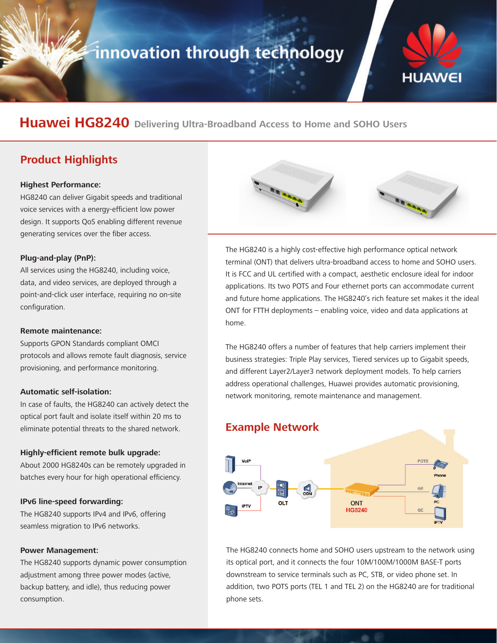# innovation through technology



## **Huawei HG8240 Delivering Ultra-Broadband Access to Home and SOHO Users**

### **Product Highlights**

#### **Highest Performance:**

HG8240 can deliver Gigabit speeds and traditional voice services with a energy-efficient low power design. It supports QoS enabling different revenue generating services over the fiber access.

#### **Plug-and-play (PnP):**

All services using the HG8240, including voice, data, and video services, are deployed through a point-and-click user interface, requiring no on-site configuration.

#### **Remote maintenance:**

Supports GPON Standards compliant OMCI protocols and allows remote fault diagnosis, service provisioning, and performance monitoring.

#### **Automatic self-isolation:**

In case of faults, the HG8240 can actively detect the optical port fault and isolate itself within 20 ms to eliminate potential threats to the shared network.

#### **Highly-efficient remote bulk upgrade:**

About 2000 HG8240s can be remotely upgraded in batches every hour for high operational efficiency.

#### **IPv6 line-speed forwarding:**

The HG8240 supports IPv4 and IPv6, offering seamless migration to IPv6 networks.

#### **Power Management:**

The HG8240 supports dynamic power consumption adjustment among three power modes (active, backup battery, and idle), thus reducing power consumption.



The HG8240 is a highly cost-effective high performance optical network terminal (ONT) that delivers ultra-broadband access to home and SOHO users. It is FCC and UL certified with a compact, aesthetic enclosure ideal for indoor applications. Its two POTS and Four ethernet ports can accommodate current and future home applications. The HG8240's rich feature set makes it the ideal ONT for FTTH deployments – enabling voice, video and data applications at home.

The HG8240 offers a number of features that help carriers implement their business strategies: Triple Play services, Tiered services up to Gigabit speeds, and different Layer2/Layer3 network deployment models. To help carriers address operational challenges, Huawei provides automatic provisioning, network monitoring, remote maintenance and management.



The HG8240 connects home and SOHO users upstream to the network using its optical port, and it connects the four 10M/100M/1000M BASE-T ports downstream to service terminals such as PC, STB, or video phone set. In addition, two POTS ports (TEL 1 and TEL 2) on the HG8240 are for traditional phone sets.